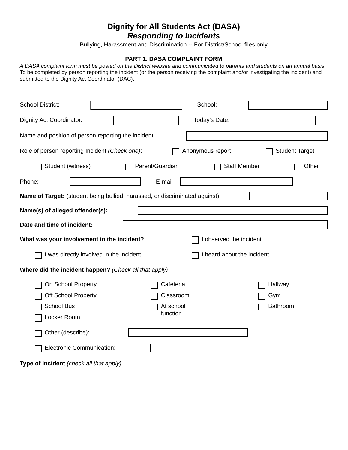## **Dignity for All Students Act (DASA)**

*Responding to Incidents* 

Bullying, Harassment and Discrimination -- For District/School files only

## **PART 1. DASA COMPLAINT FORM**

*A DASA complaint form must be posted on the District website and communicated to parents and students on an annual basis.*  To be completed by person reporting the incident (or the person receiving the complaint and/or investigating the incident) and submitted to the Dignity Act Coordinator (DAC).

| <b>School District:</b>                             |                                                                             | School:                    |                       |
|-----------------------------------------------------|-----------------------------------------------------------------------------|----------------------------|-----------------------|
| Dignity Act Coordinator:                            |                                                                             | Today's Date:              |                       |
| Name and position of person reporting the incident: |                                                                             |                            |                       |
| Role of person reporting Incident (Check one):      |                                                                             | Anonymous report           | <b>Student Target</b> |
| Student (witness)                                   | Parent/Guardian                                                             | <b>Staff Member</b>        | Other                 |
| Phone:                                              | E-mail                                                                      |                            |                       |
|                                                     | Name of Target: (student being bullied, harassed, or discriminated against) |                            |                       |
|                                                     |                                                                             |                            |                       |
| Name(s) of alleged offender(s):                     |                                                                             |                            |                       |
|                                                     |                                                                             |                            |                       |
| Date and time of incident:                          |                                                                             |                            |                       |
|                                                     |                                                                             |                            |                       |
| What was your involvement in the incident?:         |                                                                             | I observed the incident    |                       |
|                                                     | I was directly involved in the incident                                     | I heard about the incident |                       |
|                                                     | Where did the incident happen? (Check all that apply)                       |                            |                       |
| On School Property                                  |                                                                             | Cafeteria                  | Hallway               |
| <b>Off School Property</b>                          |                                                                             | Classroom                  | Gym                   |
| <b>School Bus</b>                                   |                                                                             | At school                  | Bathroom              |
| Locker Room                                         |                                                                             | function                   |                       |
| Other (describe):                                   |                                                                             |                            |                       |
| Electronic Communication:                           |                                                                             |                            |                       |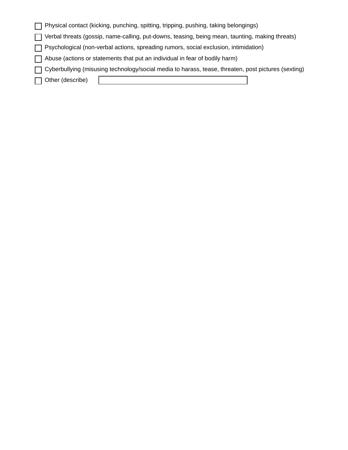| Physical contact (kicking, punching, spitting, tripping, pushing, taking belongings)                  |
|-------------------------------------------------------------------------------------------------------|
| □ Verbal threats (gossip, name-calling, put-downs, teasing, being mean, taunting, making threats)     |
| □ Psychological (non-verbal actions, spreading rumors, social exclusion, intimidation)                |
| Abuse (actions or statements that put an individual in fear of bodily harm)                           |
| □ Cyberbullying (misusing technology/social media to harass, tease, threaten, post pictures (sexting) |
| Other (describe)<br>$\mathbf{I}$                                                                      |